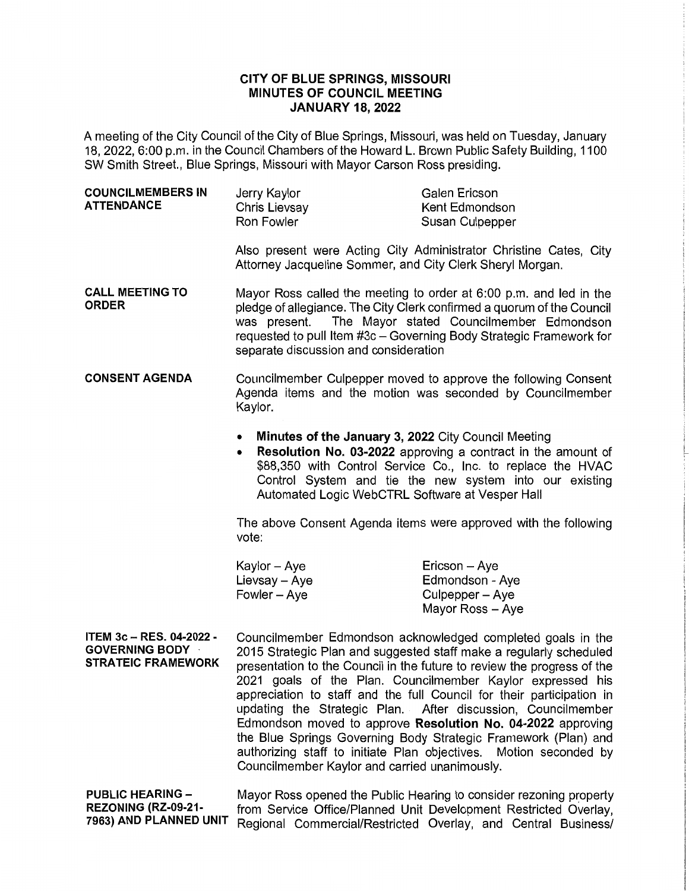## **CITY OF BLUE SPRINGS, MISSOURI MINUTES OF COUNCIL MEETING JANUARY 18, 2022**

A meeting of the City Council of the City of Blue Springs, Missouri, was held on Tuesday, January 18, 2022, 6:00 p.m. in the Council Chambers of the Howard L. Brown Public Safety Building, 1100 SW Smith Street., Blue Springs, Missouri with Mayor Carson Ross presiding.

| <b>COUNCILMEMBERS IN</b><br>Jerry Kaylor<br>Galen Ericson<br><b>ATTENDANCE</b><br>Chris Lievsay<br>Kent Edmondson<br>Ron Fowler<br>Susan Culpepper |
|----------------------------------------------------------------------------------------------------------------------------------------------------|
|----------------------------------------------------------------------------------------------------------------------------------------------------|

Also present were Acting City Administrator Christine Cates, City Attorney Jacqueline Sommer, and City Clerk Sheryl Morgan.

- **CALL MEETING TO ORDER**  Mayor Ross called the meeting to order at 6:00 p.m. and led in the pledge of allegiance. The City Clerk confirmed a quorum of the Council was present. The Mayor stated Councilmember Edmondson requested to pull Item #3c - Governing Body Strategic Framework for separate discussion and consideration
- **CONSENT AGENDA**  Councilmember Culpepper moved to approve the following Consent Agenda items and the motion was seconded by Councilmember Kaylor.
	- **Minutes of the January 3, 2022** City Council Meeting
	- **Resolution No. 03-2022** approving a contract in the amount of \$88,350 with Control Service Co., Inc. to replace the HVAC Control System and tie the new system into our existing Automated Logic WebCTRL Software at Vesper Hall

The above Consent Agenda items were approved with the following vote:

| Kaylor – Aye  | Ericson - Aye    |
|---------------|------------------|
| Lievsay – Aye | Edmondson - Aye  |
| Fowler – Aye  | Culpepper – Aye  |
|               | Mayor Ross - Aye |

**ITEM 3c** - **RES. 04-2022** - **GOVERNING BODY STRATEIC FRAMEWORK**  Councilmember Edmondson acknowledged completed goals in the 2015 Strategic Plan and suggested staff make a regularly scheduled presentation to the Council in the future to review the progress of the 2021 goals of the Plan. Councilmember Kaylor expressed his appreciation to staff and the full Council for their participation in updating the Strategic Plan. After discussion, Councilmember Edmondson moved to approve **Resolution No. 04-2022** approving the Blue Springs Governing Body Strategic Framework (Plan) and authorizing staff to initiate Plan objectives. Motion seconded by Councilmember Kaylor and carried unanimously.

**PUBLIC HEARING - Mayor Ross opened the Public Hearing to consider rezoning property<br>REZONING (RZ-09-21- from Service Office/Planned Unit Development Pestricted Overlay REZONING (RZ-09-21-** from Service Office/Planned Unit Development Restricted Overlay, **Regional Commercial/Restricted Overlay, and Central Business/**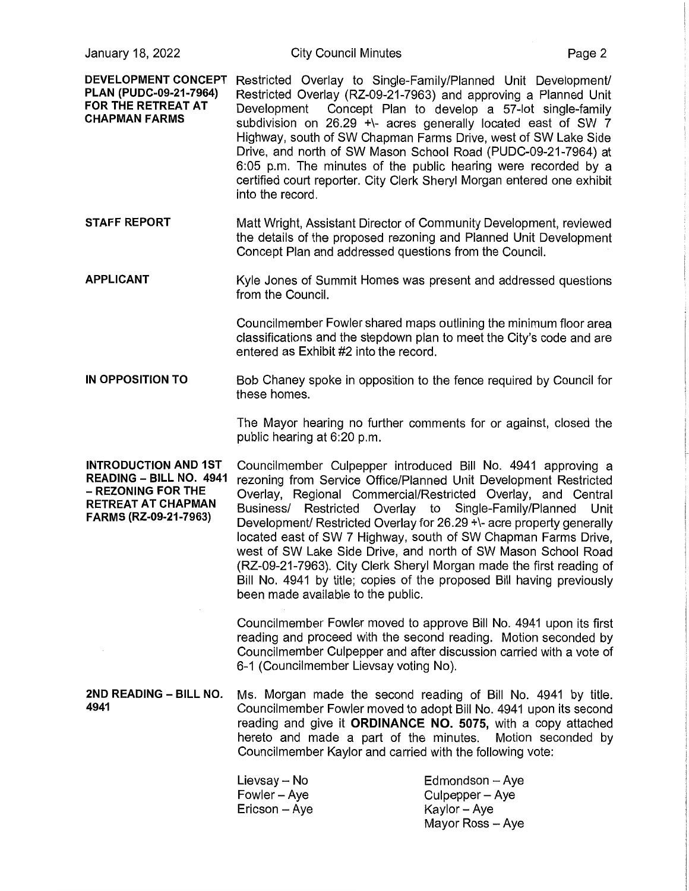**DEVELOPMENT CONCEPT PLAN (PUDC-09-21-7964) FOR THE RETREAT AT CHAPMAN FARMS**  Restricted Overlay to Single-Family/Planned Unit Development/ Restricted Overlay (RZ-09-21-7963) and approving a Planned Unit Development Concept Plan to develop a 57-lot single-family subdivision on 26.29 +\- acres generally located east of SW 7 Highway, south of SW Chapman Farms Drive, west of SW Lake Side Drive, and north of SW Mason School Road (PUDC-09-21-7964) at 6:05 p.m. The minutes of the public hearing were recorded by a certified court reporter. City Clerk Sheryl Morgan entered one exhibit into the record.

**STAFF REPORT**  Matt Wright, Assistant Director of Community Development, reviewed the details of the proposed rezoning and Planned Unit Development Concept Plan and addressed questions from the Council.

**APPLICANT**  Kyle Jones of Summit Homes was present and addressed questions from the Council.

> Councilmember Fowler shared maps outlining the minimum floor area classifications and the stepdown plan to meet the City's code and are entered as Exhibit #2 into the record.

**IN OPPOSITION TO**  Bob Chaney spoke in opposition to the fence required by Council for these homes.

> The Mayor hearing no further comments for or against, closed the public hearing at 6:20 p.m.

**INTRODUCTION AND 1ST READING - BILL NO. 4941**  - **REZONING FOR THE RETREAT AT CHAPMAN FARMS (RZ-09-21-7963)** 

Councilmember Culpepper introduced Bill No. 4941 approving a rezoning from Service Office/Planned Unit Development Restricted Overlay, Regional Commercial/Restricted Overlay, and Central Business/ Restricted Overlay to Single-Family/Planned Unit Development/ Restricted Overlay for 26.29 +\- acre property generally located east of SW 7 Highway, south of SW Chapman Farms Drive. west of SW Lake Side Drive, and north of SW Mason School Road (RZ-09-21-7963). City Clerk Sheryl Morgan made the first reading of Bill No. 4941 by title; copies of the proposed Bill having previously been made available to the public.

Councilmember Fowler moved to approve Bill No. 4941 upon its first reading and proceed with the second reading. Motion seconded by Councilmember Culpepper and after discussion carried with a vote of 6-1 (Councilmember Lievsay voting No).

**2ND READING - BILL NO.** Ms. Morgan made the second reading of Bill No. 4941 by title. **4941** Councilmember Fowler moved to adopt Bill No. 4941 upon its second reading and give it **ORDINANCE NO. 5075,** with a copy attached hereto and made a part of the minutes. Motion seconded by Councilmember Kaylor and carried with the following vote:

| Lievsay -- No | Edmondson $-$ Aye |
|---------------|-------------------|
| Fowler – Aye  | Culpepper – Aye   |
| Ericson – Aye | Kaylor – Aye      |
|               | Mayor Ross - Ave  |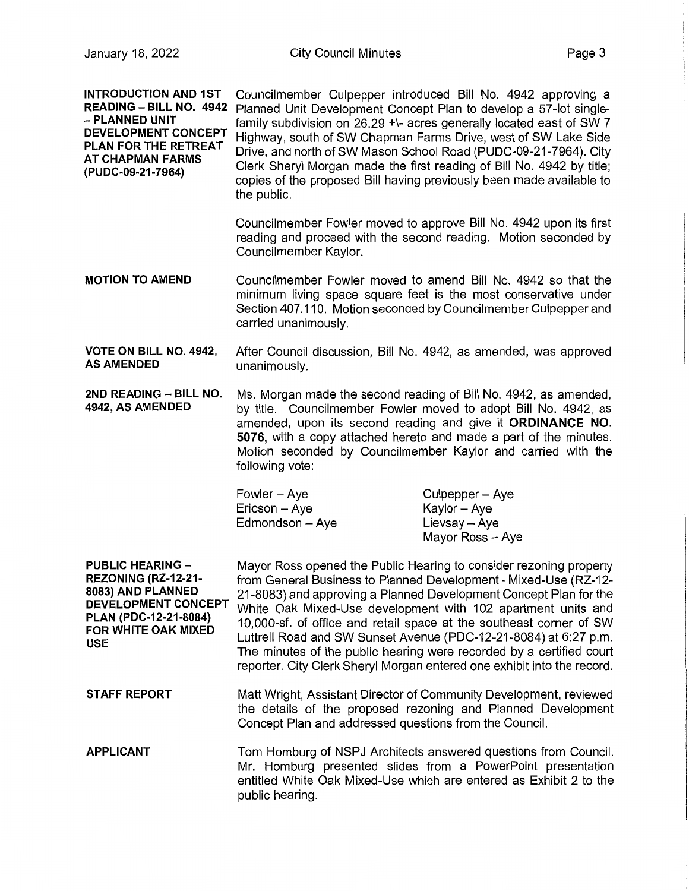**INTRODUCTION AND 1ST** 

Councilmember Culpepper introduced Bill No. 4942 approving a

| READING – BILL NO. 4942<br>– PLANNED UNIT<br><b>DEVELOPMENT CONCEPT</b><br>PLAN FOR THE RETREAT<br>AT CHAPMAN FARMS<br>(PUDC-09-21-7964)                 | the public.                                                                                                                                                                                                                                                                                                                                                                                                                                                                                                                                                               | Planned Unit Development Concept Plan to develop a 57-lot single-<br>family subdivision on 26.29 +\- acres generally located east of SW 7<br>Highway, south of SW Chapman Farms Drive, west of SW Lake Side<br>Drive, and north of SW Mason School Road (PUDC-09-21-7964). City<br>Clerk Sheryl Morgan made the first reading of Bill No. 4942 by title;<br>copies of the proposed Bill having previously been made available to |
|----------------------------------------------------------------------------------------------------------------------------------------------------------|---------------------------------------------------------------------------------------------------------------------------------------------------------------------------------------------------------------------------------------------------------------------------------------------------------------------------------------------------------------------------------------------------------------------------------------------------------------------------------------------------------------------------------------------------------------------------|----------------------------------------------------------------------------------------------------------------------------------------------------------------------------------------------------------------------------------------------------------------------------------------------------------------------------------------------------------------------------------------------------------------------------------|
|                                                                                                                                                          | Councilmember Kaylor.                                                                                                                                                                                                                                                                                                                                                                                                                                                                                                                                                     | Councilmember Fowler moved to approve Bill No. 4942 upon its first<br>reading and proceed with the second reading. Motion seconded by                                                                                                                                                                                                                                                                                            |
| <b>MOTION TO AMEND</b>                                                                                                                                   | carried unanimously.                                                                                                                                                                                                                                                                                                                                                                                                                                                                                                                                                      | Councilmember Fowler moved to amend Bill No. 4942 so that the<br>minimum living space square feet is the most conservative under<br>Section 407.110. Motion seconded by Councilmember Culpepper and                                                                                                                                                                                                                              |
| VOTE ON BILL NO. 4942,<br><b>AS AMENDED</b>                                                                                                              | unanimously.                                                                                                                                                                                                                                                                                                                                                                                                                                                                                                                                                              | After Council discussion, Bill No. 4942, as amended, was approved                                                                                                                                                                                                                                                                                                                                                                |
| 2ND READING - BILL NO.<br>4942, AS AMENDED                                                                                                               | following vote:                                                                                                                                                                                                                                                                                                                                                                                                                                                                                                                                                           | Ms. Morgan made the second reading of Bill No. 4942, as amended,<br>by title. Councilmember Fowler moved to adopt Bill No. 4942, as<br>amended, upon its second reading and give it ORDINANCE NO.<br>5076, with a copy attached hereto and made a part of the minutes.<br>Motion seconded by Councilmember Kaylor and carried with the                                                                                           |
|                                                                                                                                                          | Fowler - Aye<br>Ericson - Aye<br>Edmondson - Aye                                                                                                                                                                                                                                                                                                                                                                                                                                                                                                                          | Culpepper - Aye<br>Kaylor - Aye<br>Lievsay - Aye<br>Mayor Ross - Aye                                                                                                                                                                                                                                                                                                                                                             |
| <b>PUBLIC HEARING -</b><br>REZONING (RZ-12-21-<br>8083) AND PLANNED<br>DEVELOPMENT CONCEPT<br>PLAN (PDC-12-21-8084)<br><b>FOR WHITE OAK MIXED</b><br>USE | Mayor Ross opened the Public Hearing to consider rezoning property<br>from General Business to Planned Development - Mixed-Use (RZ-12-<br>21-8083) and approving a Planned Development Concept Plan for the<br>White Oak Mixed-Use development with 102 apartment units and<br>10,000-sf. of office and retail space at the southeast corner of SW<br>Luttrell Road and SW Sunset Avenue (PDC-12-21-8084) at 6:27 p.m.<br>The minutes of the public hearing were recorded by a certified court<br>reporter. City Clerk Sheryl Morgan entered one exhibit into the record. |                                                                                                                                                                                                                                                                                                                                                                                                                                  |
| <b>STAFF REPORT</b>                                                                                                                                      | Concept Plan and addressed questions from the Council.                                                                                                                                                                                                                                                                                                                                                                                                                                                                                                                    | Matt Wright, Assistant Director of Community Development, reviewed<br>the details of the proposed rezoning and Planned Development                                                                                                                                                                                                                                                                                               |
| <b>APPLICANT</b>                                                                                                                                         | public hearing.                                                                                                                                                                                                                                                                                                                                                                                                                                                                                                                                                           | Tom Homburg of NSPJ Architects answered questions from Council.<br>Mr. Homburg presented slides from a PowerPoint presentation<br>entitled White Oak Mixed-Use which are entered as Exhibit 2 to the                                                                                                                                                                                                                             |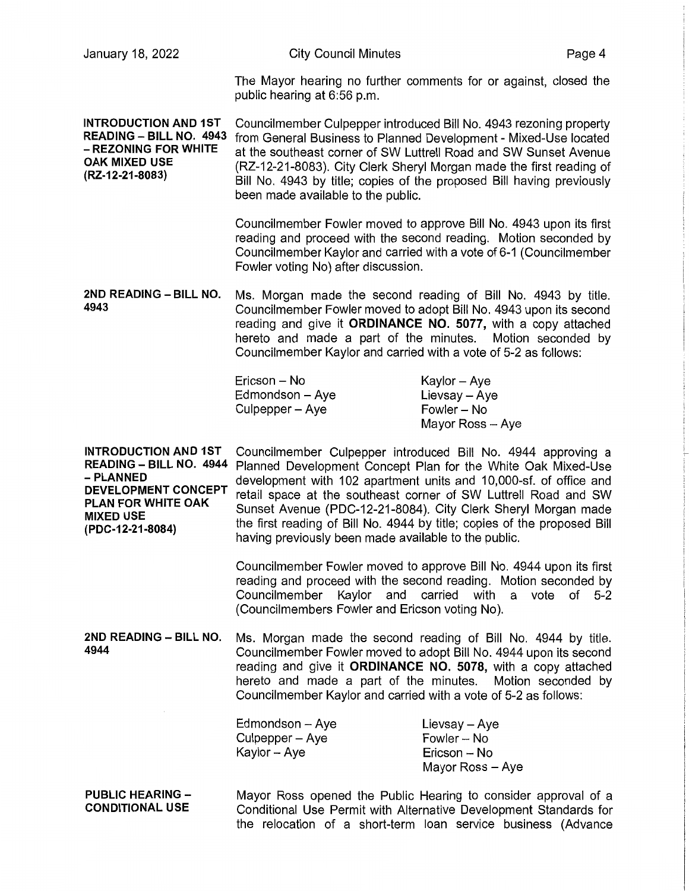| January 18, 2022                                                                                                                                                | <b>City Council Minutes</b>                                                                                                                                                                                                                                                                                                                                                                      | Page 4                                                                                                                                                                                                                                                                                                                                                                                                            |
|-----------------------------------------------------------------------------------------------------------------------------------------------------------------|--------------------------------------------------------------------------------------------------------------------------------------------------------------------------------------------------------------------------------------------------------------------------------------------------------------------------------------------------------------------------------------------------|-------------------------------------------------------------------------------------------------------------------------------------------------------------------------------------------------------------------------------------------------------------------------------------------------------------------------------------------------------------------------------------------------------------------|
|                                                                                                                                                                 | public hearing at 6:56 p.m.                                                                                                                                                                                                                                                                                                                                                                      | The Mayor hearing no further comments for or against, closed the                                                                                                                                                                                                                                                                                                                                                  |
| <b>INTRODUCTION AND 1ST</b><br>READING - BILL NO. 4943<br>- REZONING FOR WHITE<br><b>OAK MIXED USE</b><br>(RZ-12-21-8083)                                       | Councilmember Culpepper introduced Bill No. 4943 rezoning property<br>from General Business to Planned Development - Mixed-Use located<br>at the southeast corner of SW Luttrell Road and SW Sunset Avenue<br>(RZ-12-21-8083). City Clerk Sheryl Morgan made the first reading of<br>Bill No. 4943 by title; copies of the proposed Bill having previously<br>been made available to the public. |                                                                                                                                                                                                                                                                                                                                                                                                                   |
|                                                                                                                                                                 | Fowler voting No) after discussion.                                                                                                                                                                                                                                                                                                                                                              | Councilmember Fowler moved to approve Bill No. 4943 upon its first<br>reading and proceed with the second reading. Motion seconded by<br>Councilmember Kaylor and carried with a vote of 6-1 (Councilmember                                                                                                                                                                                                       |
| 2ND READING - BILL NO.<br>4943                                                                                                                                  | Councilmember Kaylor and carried with a vote of 5-2 as follows:                                                                                                                                                                                                                                                                                                                                  | Ms. Morgan made the second reading of Bill No. 4943 by title.<br>Councilmember Fowler moved to adopt Bill No. 4943 upon its second<br>reading and give it ORDINANCE NO. 5077, with a copy attached<br>hereto and made a part of the minutes. Motion seconded by                                                                                                                                                   |
|                                                                                                                                                                 | Ericson - No<br>Edmondson - Aye<br>Culpepper - Aye                                                                                                                                                                                                                                                                                                                                               | Kaylor - Aye<br>Lievsay - Aye<br>Fowler - No<br>Mayor Ross - Aye                                                                                                                                                                                                                                                                                                                                                  |
| <b>INTRODUCTION AND 1ST</b><br>READING - BILL NO. 4944<br>- PLANNED<br><b>DEVELOPMENT CONCEPT</b><br>PLAN FOR WHITE OAK<br><b>MIXED USE</b><br>(PDC-12-21-8084) | having previously been made available to the public.                                                                                                                                                                                                                                                                                                                                             | Councilmember Culpepper introduced Bill No. 4944 approving a<br>Planned Development Concept Plan for the White Oak Mixed-Use<br>development with 102 apartment units and 10,000-sf. of office and<br>retail space at the southeast corner of SW Luttrell Road and SW<br>Sunset Avenue (PDC-12-21-8084). City Clerk Sheryl Morgan made<br>the first reading of Bill No. 4944 by title; copies of the proposed Bill |
|                                                                                                                                                                 | Councilmember Kaylor and carried with a vote of<br>(Councilmembers Fowler and Ericson voting No).                                                                                                                                                                                                                                                                                                | Councilmember Fowler moved to approve Bill No. 4944 upon its first<br>reading and proceed with the second reading. Motion seconded by<br>$5 - 2$                                                                                                                                                                                                                                                                  |
| 2ND READING - BILL NO.<br>4944                                                                                                                                  | Councilmember Kaylor and carried with a vote of 5-2 as follows:                                                                                                                                                                                                                                                                                                                                  | Ms. Morgan made the second reading of Bill No. 4944 by title.<br>Councilmember Fowler moved to adopt Bill No. 4944 upon its second<br>reading and give it ORDINANCE NO. 5078, with a copy attached<br>hereto and made a part of the minutes. Motion seconded by                                                                                                                                                   |
|                                                                                                                                                                 | Edmondson - Aye<br>Culpepper - Aye<br>Kaylor - Aye                                                                                                                                                                                                                                                                                                                                               | Lievsay - Aye<br>Fowler - No<br>Ericson -- No<br>Mayor Ross - Aye                                                                                                                                                                                                                                                                                                                                                 |
| <b>PUBLIC HEARING -</b><br><b>CONDITIONAL USE</b>                                                                                                               |                                                                                                                                                                                                                                                                                                                                                                                                  | Mayor Ross opened the Public Hearing to consider approval of a<br>Conditional Use Permit with Alternative Development Standards for<br>the relocation of a short-term loan service business (Advance                                                                                                                                                                                                              |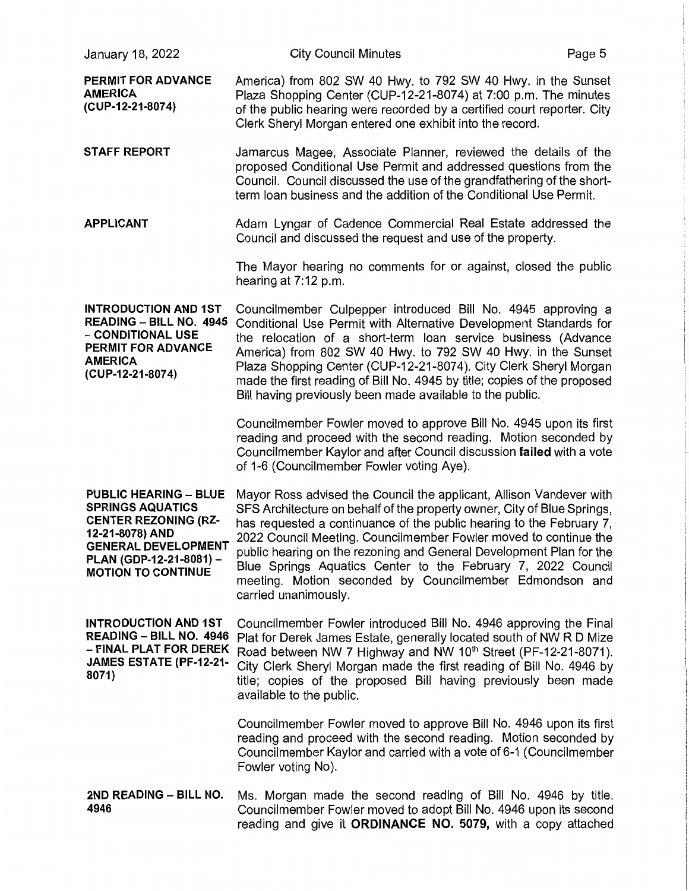| January 18, 2022                                                                                                                                                                                | <b>City Council Minutes</b>                                                                                                                                                                                                                                                                                                                                                                                                                                                                                          | Page 5 |
|-------------------------------------------------------------------------------------------------------------------------------------------------------------------------------------------------|----------------------------------------------------------------------------------------------------------------------------------------------------------------------------------------------------------------------------------------------------------------------------------------------------------------------------------------------------------------------------------------------------------------------------------------------------------------------------------------------------------------------|--------|
| PERMIT FOR ADVANCE<br><b>AMERICA</b><br>(CUP-12-21-8074)                                                                                                                                        | America) from 802 SW 40 Hwy. to 792 SW 40 Hwy. in the Sunset<br>Plaza Shopping Center (CUP-12-21-8074) at 7:00 p.m. The minutes<br>of the public hearing were recorded by a certified court reporter. City<br>Clerk Sheryl Morgan entered one exhibit into the record.                                                                                                                                                                                                                                               |        |
| <b>STAFF REPORT</b>                                                                                                                                                                             | Jamarcus Magee, Associate Planner, reviewed the details of the<br>proposed Conditional Use Permit and addressed questions from the<br>Council. Council discussed the use of the grandfathering of the short-<br>term loan business and the addition of the Conditional Use Permit.                                                                                                                                                                                                                                   |        |
| <b>APPLICANT</b>                                                                                                                                                                                | Adam Lyngar of Cadence Commercial Real Estate addressed the<br>Council and discussed the request and use of the property.                                                                                                                                                                                                                                                                                                                                                                                            |        |
|                                                                                                                                                                                                 | The Mayor hearing no comments for or against, closed the public<br>hearing at $7:12$ p.m.                                                                                                                                                                                                                                                                                                                                                                                                                            |        |
| <b>INTRODUCTION AND 1ST</b><br>READING - BILL NO. 4945<br>- CONDITIONAL USE<br>PERMIT FOR ADVANCE<br><b>AMERICA</b><br>(CUP-12-21-8074)                                                         | Councilmember Culpepper introduced Bill No. 4945 approving a<br>Conditional Use Permit with Alternative Development Standards for<br>the relocation of a short-term loan service business (Advance<br>America) from 802 SW 40 Hwy. to 792 SW 40 Hwy. in the Sunset<br>Plaza Shopping Center (CUP-12-21-8074). City Clerk Sheryl Morgan<br>made the first reading of Bill No. 4945 by title; copies of the proposed<br>Bill having previously been made available to the public.                                      |        |
|                                                                                                                                                                                                 | Councilmember Fowler moved to approve Bill No. 4945 upon its first<br>reading and proceed with the second reading. Motion seconded by<br>Councilmember Kaylor and after Council discussion failed with a vote<br>of 1-6 (Councilmember Fowler voting Aye).                                                                                                                                                                                                                                                           |        |
| <b>PUBLIC HEARING - BLUE</b><br><b>SPRINGS AQUATICS</b><br><b>CENTER REZONING (RZ-</b><br>12-21-8078) AND<br><b>GENERAL DEVELOPMENT</b><br>PLAN (GDP-12-21-8081) -<br><b>MOTION TO CONTINUE</b> | Mayor Ross advised the Council the applicant, Allison Vandever with<br>SFS Architecture on behalf of the property owner, City of Blue Springs,<br>has requested a continuance of the public hearing to the February 7,<br>2022 Council Meeting. Councilmember Fowler moved to continue the<br>public hearing on the rezoning and General Development Plan for the<br>Blue Springs Aquatics Center to the February 7, 2022 Council<br>meeting. Motion seconded by Councilmember Edmondson and<br>carried unanimously. |        |
| <b>INTRODUCTION AND 1ST</b><br><b>READING - BILL NO. 4946</b><br>– FINAL PLAT FOR DEREK<br>JAMES ESTATE (PF-12-21-<br>8071)                                                                     | Councilmember Fowler introduced Bill No. 4946 approving the Final<br>Plat for Derek James Estate, generally located south of NW R D Mize<br>Road between NW 7 Highway and NW 10th Street (PF-12-21-8071).<br>City Clerk Sheryl Morgan made the first reading of Bill No. 4946 by<br>title; copies of the proposed Bill having previously been made<br>available to the public.                                                                                                                                       |        |
|                                                                                                                                                                                                 | Councilmember Fowler moved to approve Bill No. 4946 upon its first<br>reading and proceed with the second reading. Motion seconded by<br>Councilmember Kaylor and carried with a vote of 6-1 (Councilmember<br>Fowler voting No).                                                                                                                                                                                                                                                                                    |        |
| 2ND READING - BILL NO.<br>4946                                                                                                                                                                  | Ms. Morgan made the second reading of Bill No. 4946 by title.<br>Councilmember Fowler moved to adopt Bill No. 4946 upon its second<br>reading and give it ORDINANCE NO. 5079, with a copy attached                                                                                                                                                                                                                                                                                                                   |        |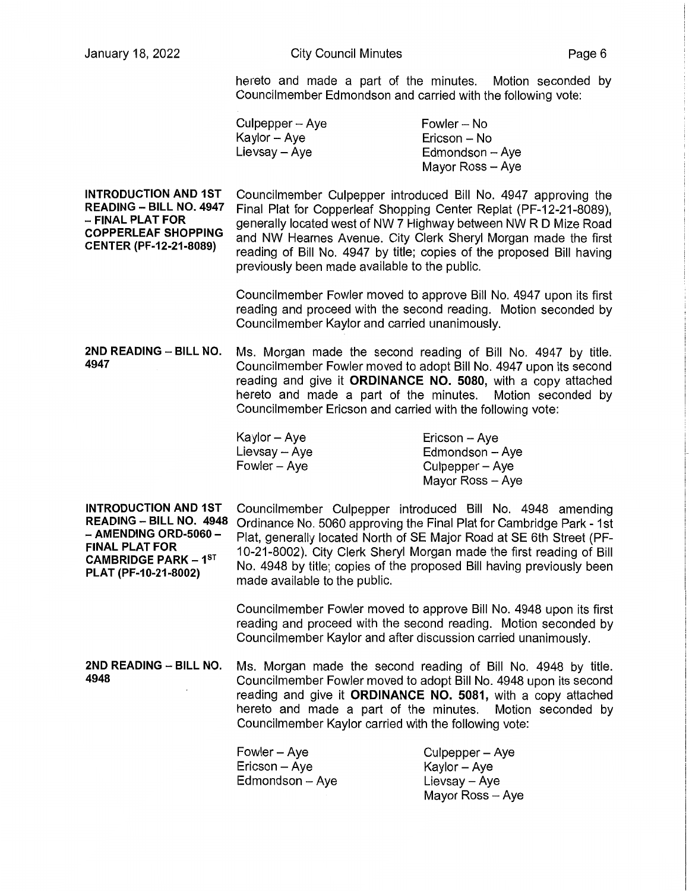hereto and made a part of the minutes. Motion seconded by Councilmember Edmondson and carried with the following vote:

| Culpepper -- Aye | Fowler – No       |
|------------------|-------------------|
| Kaylor -- Aye    | Ericson – No      |
| Lievsay – Aye    | $Edmondson - Aye$ |
|                  | Mayor Ross - Aye  |

**INTRODUCTION AND 1ST READING - BILL NO. 4947**  - **FINAL PLAT FOR COPPERLEAF SHOPPING CENTER (PF-12-21-8089)**  Councilmember Culpepper introduced Bill No. 4947 approving the Final Plat for Copperleaf Shopping Center Replat (PF-12-21-8089), generally located west of NW 7 Highway between NW RD Mize Road and NW Hearnes Avenue. City Clerk Sheryl Morgan made the first reading of Bill No. 4947 by title; copies of the proposed Bill having previously been made available to the public.

> Councilmember Fowler moved to approve Bill No. 4947 upon its first reading and proceed with the second reading. Motion seconded by Councilmember Kaylor and carried unanimously.

**2ND READING - BILL NO.** Ms. Morgan made the second reading of Bill No. 4947 by title. **4947** Councilmember Fowler moved to adopt Bill No. 4947 upon its second reading and give it **ORDINANCE NO. 5080,** with a copy attached hereto and made a part of the minutes. Motion seconded by Councilmember Ericson and carried with the following vote:

| Kaylor – Aye  | Ericson - Aye    |
|---------------|------------------|
| Lievsay - Aye | Edmondson - Aye  |
| Fowler – Aye  | Culpepper – Aye  |
|               | Mayor Ross - Aye |

**INTRODUCTION AND 1ST READING - BILL NO. 4948**  - **AMENDING ORD-5060** - **FINAL PLAT FOR CAMBRIDGE PARK - 1ST PLAT (PF-10-21-8002)**  Councilmember Culpepper introduced Bill No. 4948 amending Ordinance No. 5060 approving the Final Plat for Cambridge Park - 1st Plat, generally located North of SE Major Road at SE 6th Street (PF-10-21-8002). City Clerk Sheryl Morgan made the first reading of Bill No. 4948 by title; copies of the proposed Bill having previously been made available to the public.

> Councilmember Fowler moved to approve Bill No. 4948 upon its first reading and proceed with the second reading. Motion seconded by Councilmember Kaylor and after discussion carried unanimously.

**2ND READING - BILL NO.** Ms. Morgan made the second reading of Bill No. 4948 by title. **4948** Councilmember Fowler moved to adopt Bill No. 4948 upon its second reading and give it **ORDINANCE NO. 5081,** with a copy attached hereto and made a part of the minutes. Motion seconded by Councilmember Kaylor carried with the following vote:

| Fowler – Aye    | Culpepper – Aye  |
|-----------------|------------------|
| Ericson – Aye   | Kaylor – Aye     |
| Edmondson - Aye | Lievsay - Ave    |
|                 | Mavor Ross - Ave |